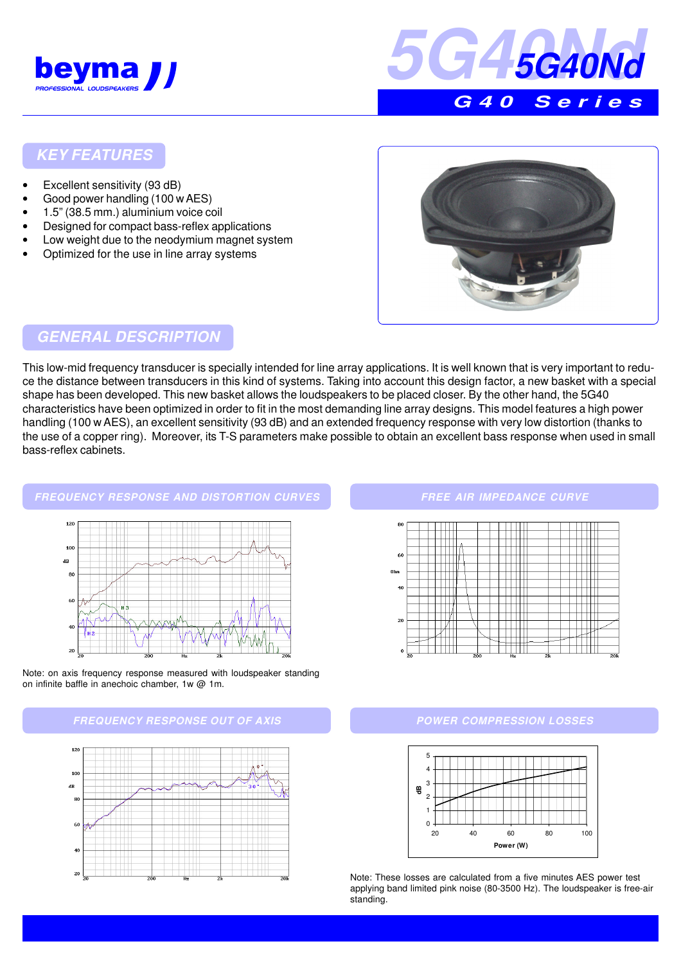



### **KEY FEATURES**

- Excellent sensitivity (93 dB)
- Good power handling (100 w AES)
- 1.5" (38.5 mm.) aluminium voice coil
- Designed for compact bass-reflex applications
- Low weight due to the neodymium magnet system
- Optimized for the use in line array systems



## **GENERAL DESCRIPTION**

This low-mid frequency transducer is specially intended for line array applications. It is well known that is very important to reduce the distance between transducers in this kind of systems. Taking into account this design factor, a new basket with a special shape has been developed. This new basket allows the loudspeakers to be placed closer. By the other hand, the 5G40 characteristics have been optimized in order to fit in the most demanding line array designs. This model features a high power handling (100 w AES), an excellent sensitivity (93 dB) and an extended frequency response with very low distortion (thanks to the use of a copper ring). Moreover, its T-S parameters make possible to obtain an excellent bass response when used in small bass-reflex cabinets.

#### **FREQUENCY RESPONSE AND DISTORTION CURVES**



Note: on axis frequency response measured with loudspeaker standing on infinite baffle in anechoic chamber, 1w @ 1m.





#### **FREE AIR IMPEDANCE CURVE**



#### **POWER COMPRESSION LOSSES**



Note: These losses are calculated from a five minutes AES power test applying band limited pink noise (80-3500 Hz). The loudspeaker is free-air standing.